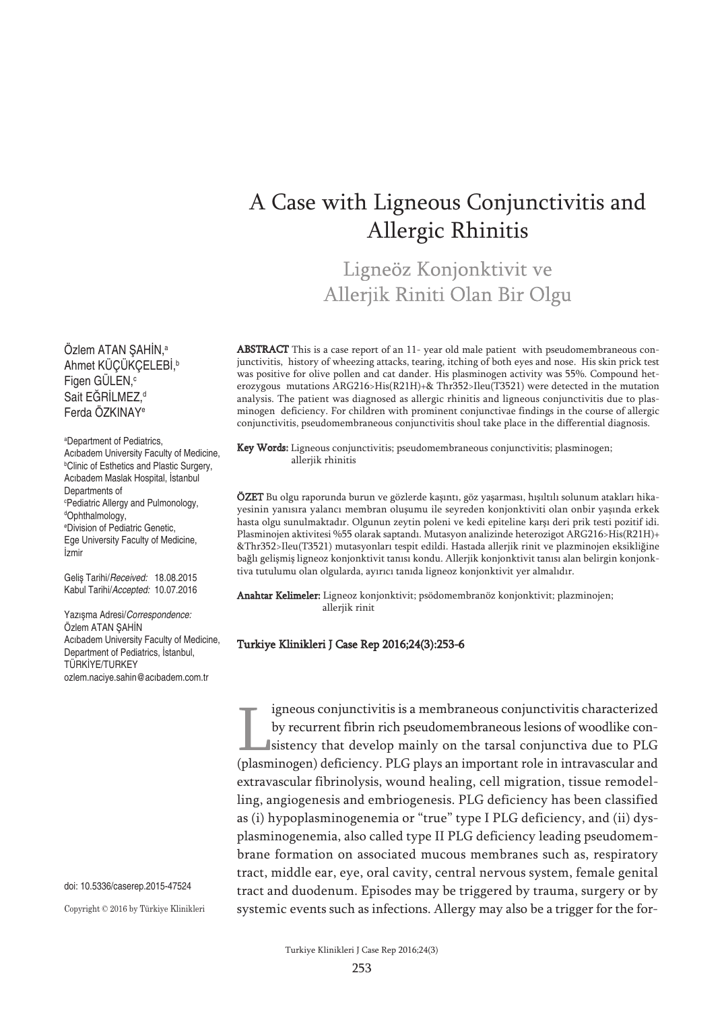# A Case with Ligneous Conjunctivitis and Allergic Rhinitis

Ligneöz Konjonktivit ve Allerjik Riniti Olan Bir Olgu

Ozlem ATAN ŞAHIN,ª Ahmet KÜÇÜKÇELEBİ, b Figen GÜLEN, c Sait EGRILMEZ,<sup>d</sup> Ferda ÖZKINAYe

a Department of Pediatrics, Acıbadem University Faculty of Medicine, b Clinic of Esthetics and Plastic Surgery, Acıbadem Maslak Hospital, İstanbul Departments of c Pediatric Allergy and Pulmonology, d Ophthalmology, e Division of Pediatric Genetic, Ege University Faculty of Medicine, İzmir

Geliş Tarihi/*Received:* 18.08.2015 Kabul Tarihi/*Accepted:* 10.07.2016

Yazışma Adresi/*Correspondence:* Özlem ATAN ŞAHİN Acıbadem University Faculty of Medicine, Department of Pediatrics, İstanbul, TÜRKİYE/TURKEY ozlem.naciye.sahin@acıbadem.com.tr

doi: 10.5336/caserep.2015-47524

Copyright © 2016 by Türkiye Klinikleri

ABSTRACT This is a case report of an 11- year old male patient with pseudomembraneous conjunctivitis, history of wheezing attacks, tearing, itching of both eyes and nose. His skin prick test was positive for olive pollen and cat dander. His plasminogen activity was 55%. Compound heterozygous mutations ARG216>His(R21H)+& Thr352>Ileu(T3521) were detected in the mutation analysis. The patient was diagnosed as allergic rhinitis and ligneous conjunctivitis due to plasminogen deficiency. For children with prominent conjunctivae findings in the course of allergic conjunctivitis, pseudomembraneous conjunctivitis shoul take place in the differential diagnosis.

Key Words: Ligneous conjunctivitis; pseudomembraneous conjunctivitis; plasminogen; allerjik rhinitis

ÖZET Bu olgu raporunda burun ve gözlerde kaşıntı, göz yaşarması, hışıltılı solunum atakları hikayesinin yanısıra yalancı membran oluşumu ile seyreden konjonktiviti olan onbir yaşında erkek hasta olgu sunulmaktadır. Olgunun zeytin poleni ve kedi epiteline karşı deri prik testi pozitif idi. Plasminojen aktivitesi %55 olarak saptandı. Mutasyon analizinde heterozigot ARG216>His(R21H)+ &Thr352>Ileu(T3521) mutasyonları tespit edildi. Hastada allerjik rinit ve plazminojen eksikliğine bağlı gelişmiş ligneoz konjonktivit tanısı kondu. Allerjik konjonktivit tanısı alan belirgin konjonktiva tutulumu olan olgularda, ayırıcı tanıda ligneoz konjonktivit yer almalıdır.

Anahtar Kelimeler: Ligneoz konjonktivit; psödomembranöz konjonktivit; plazminojen; allerjik rinit

#### Turkiye Klinikleri J Case Rep 2016;24(3):253-6

igneous conjunctivitis is a membraneous conjunctivitis characterized by recurrent fibrin rich pseudomembraneous lesions of woodlike consistency that develop mainly on the tarsal conjunctiva due to PLG (plasminogen) deficiency. PLG plays an important role in intravascular and extravascular fibrinolysis, wound healing, cell migration, tissue remodelling, angiogenesis and embriogenesis. PLG deficiency has been classified as (i) hypoplasminogenemia or "true" type I PLG deficiency, and (ii) dysplasminogenemia, also called type II PLG deficiency leading pseudomembrane formation on associated mucous membranes such as, respiratory tract, middle ear, eye, oral cavity, central nervous system, female genital tract and duodenum. Episodes may be triggered by trauma, surgery or by systemic events such as infections. Allergy may also be a trigger for the for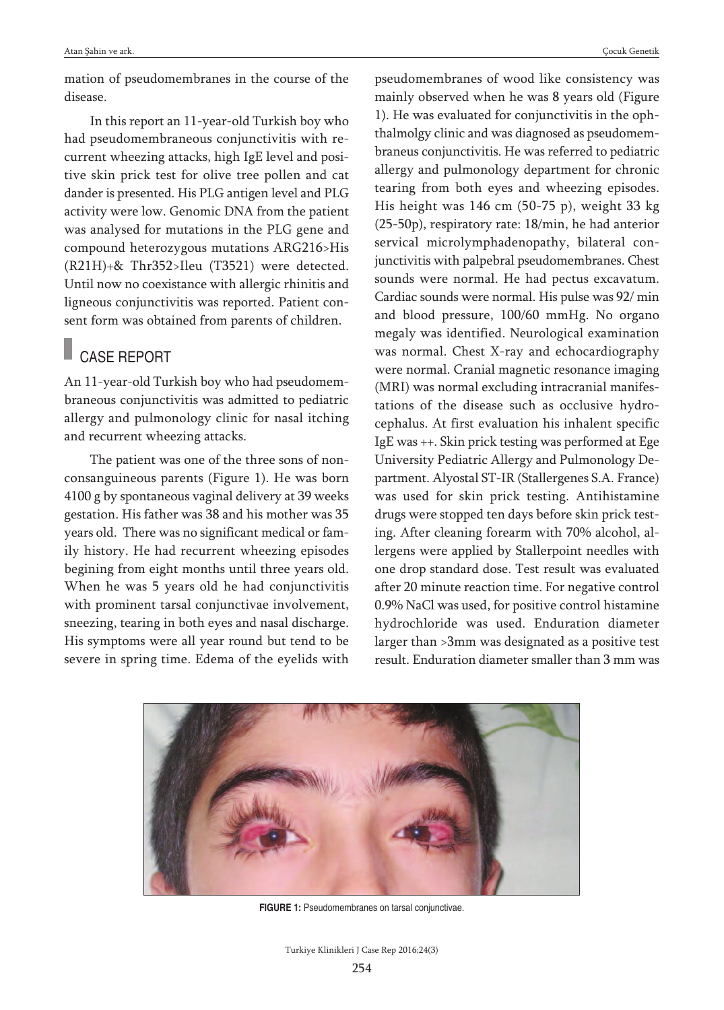mation of pseudomembranes in the course of the disease.

In this report an 11-year-old Turkish boy who had pseudomembraneous conjunctivitis with recurrent wheezing attacks, high IgE level and positive skin prick test for olive tree pollen and cat dander is presented. His PLG antigen level and PLG activity were low. Genomic DNA from the patient was analysed for mutations in the PLG gene and compound heterozygous mutations ARG216>His (R21H)+& Thr352>Ileu (T3521) were detected. Until now no coexistance with allergic rhinitis and ligneous conjunctivitis was reported. Patient consent form was obtained from parents of children.

### CASE REPORT

An 11-year-old Turkish boy who had pseudomembraneous conjunctivitis was admitted to pediatric allergy and pulmonology clinic for nasal itching and recurrent wheezing attacks.

The patient was one of the three sons of nonconsanguineous parents (Figure 1). He was born 4100 g by spontaneous vaginal delivery at 39 weeks gestation. His father was 38 and his mother was 35 years old. There was no significant medical or family history. He had recurrent wheezing episodes begining from eight months until three years old. When he was 5 years old he had conjunctivitis with prominent tarsal conjunctivae involvement, sneezing, tearing in both eyes and nasal discharge. His symptoms were all year round but tend to be severe in spring time. Edema of the eyelids with pseudomembranes of wood like consistency was mainly observed when he was 8 years old (Figure 1). He was evaluated for conjunctivitis in the ophthalmolgy clinic and was diagnosed as pseudomembraneus conjunctivitis. He was referred to pediatric allergy and pulmonology department for chronic tearing from both eyes and wheezing episodes. His height was 146 cm (50-75 p), weight 33 kg (25-50p), respiratory rate: 18/min, he had anterior servical microlymphadenopathy, bilateral conjunctivitis with palpebral pseudomembranes. Chest sounds were normal. He had pectus excavatum. Cardiac sounds were normal. His pulse was 92/ min and blood pressure, 100/60 mmHg. No organo megaly was identified. Neurological examination was normal. Chest X-ray and echocardiography were normal. Cranial magnetic resonance imaging (MRI) was normal excluding intracranial manifestations of the disease such as occlusive hydrocephalus. At first evaluation his inhalent specific IgE was ++. Skin prick testing was performed at Ege University Pediatric Allergy and Pulmonology Department. Alyostal ST-IR (Stallergenes S.A. France) was used for skin prick testing. Antihistamine drugs were stopped ten days before skin prick testing. After cleaning forearm with 70% alcohol, allergens were applied by Stallerpoint needles with one drop standard dose. Test result was evaluated after 20 minute reaction time. For negative control 0.9% NaCl was used, for positive control histamine hydrochloride was used. Enduration diameter larger than >3mm was designated as a positive test result. Enduration diameter smaller than 3 mm was



**FIGURE 1:** Pseudomembranes on tarsal conjunctivae.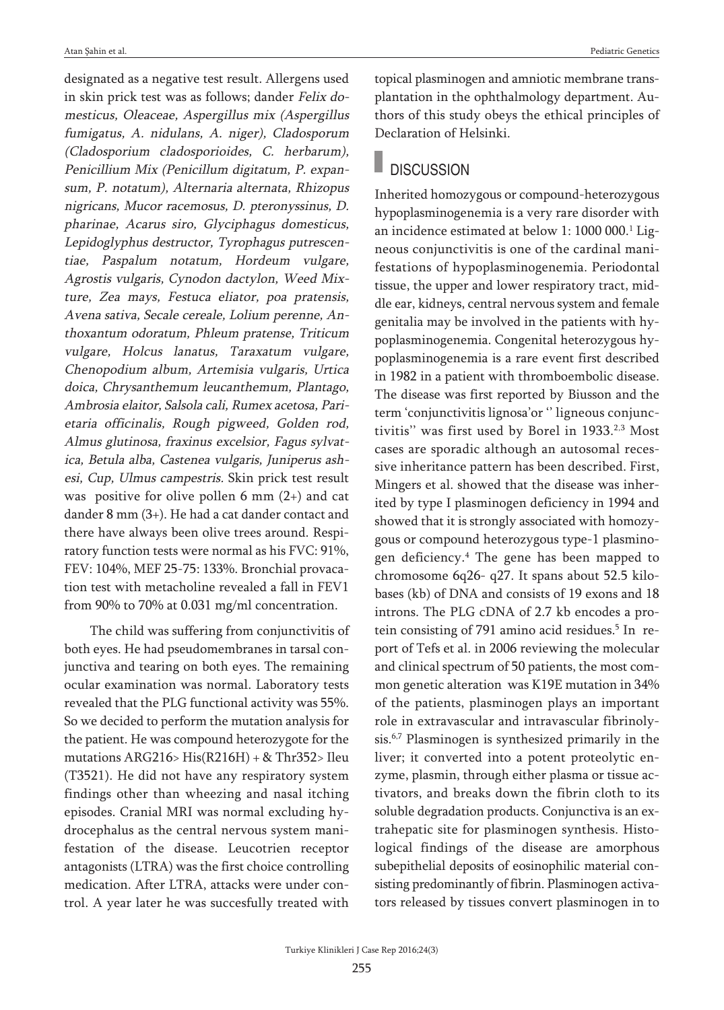designated as a negative test result. Allergens used in skin prick test was as follows; dander Felix domesticus, Oleaceae, Aspergillus mix (Aspergillus fumigatus, A. nidulans, A. niger), Cladosporum (Cladosporium cladosporioides, C. herbarum), Penicillium Mix (Penicillum digitatum, P. expansum, P. notatum), Alternaria alternata, Rhizopus nigricans, Mucor racemosus, D. pteronyssinus, D. pharinae, Acarus siro, Glyciphagus domesticus, Lepidoglyphus destructor, Tyrophagus putrescentiae, Paspalum notatum, Hordeum vulgare, Agrostis vulgaris, Cynodon dactylon, Weed Mixture, Zea mays, Festuca eliator, poa pratensis, Avena sativa, Secale cereale, Lolium perenne, Anthoxantum odoratum, Phleum pratense, Triticum vulgare, Holcus lanatus, Taraxatum vulgare, Chenopodium album, Artemisia vulgaris, Urtica doica, Chrysanthemum leucanthemum, Plantago, Ambrosia elaitor, Salsola cali, Rumex acetosa, Parietaria officinalis, Rough pigweed, Golden rod, Almus glutinosa, fraxinus excelsior, Fagus sylvatica, Betula alba, Castenea vulgaris, Juniperus ashesi, Cup, Ulmus campestris. Skin prick test result was positive for olive pollen  $6 \text{ mm } (2+)$  and cat dander 8 mm (3+). He had a cat dander contact and there have always been olive trees around. Respiratory function tests were normal as his FVC: 91%, FEV: 104%, MEF 25-75: 133%. Bronchial provacation test with metacholine revealed a fall in FEV1 from 90% to 70% at 0.031 mg/ml concentration.

The child was suffering from conjunctivitis of both eyes. He had pseudomembranes in tarsal conjunctiva and tearing on both eyes. The remaining ocular examination was normal. Laboratory tests revealed that the PLG functional activity was 55%. So we decided to perform the mutation analysis for the patient. He was compound heterozygote for the mutations ARG216> His(R216H) + & Thr352> Ileu (T3521). He did not have any respiratory system findings other than wheezing and nasal itching episodes. Cranial MRI was normal excluding hydrocephalus as the central nervous system manifestation of the disease. Leucotrien receptor antagonists (LTRA) was the first choice controlling medication. After LTRA, attacks were under control. A year later he was succesfully treated with

topical plasminogen and amniotic membrane transplantation in the ophthalmology department. Authors of this study obeys the ethical principles of Declaration of Helsinki.

## **DISCUSSION**

Inherited homozygous or compound-heterozygous hypoplasminogenemia is a very rare disorder with an incidence estimated at below 1: 1000 000. <sup>1</sup> Ligneous conjunctivitis is one of the cardinal manifestations of hypoplasminogenemia. Periodontal tissue, the upper and lower respiratory tract, middle ear, kidneys, central nervous system and female genitalia may be involved in the patients with hypoplasminogenemia. Congenital heterozygous hypoplasminogenemia is a rare event first described in 1982 in a patient with thromboembolic disease. The disease was first reported by Biusson and the term 'conjunctivitis lignosa'or '' ligneous conjunctivitis" was first used by Borel in 1933.<sup>2,3</sup> Most cases are sporadic although an autosomal recessive inheritance pattern has been described. First, Mingers et al. showed that the disease was inherited by type I plasminogen deficiency in 1994 and showed that it is strongly associated with homozygous or compound heterozygous type-1 plasminogen deficiency. <sup>4</sup> The gene has been mapped to chromosome 6q26- q27. It spans about 52.5 kilobases (kb) of DNA and consists of 19 exons and 18 introns. The PLG cDNA of 2.7 kb encodes a protein consisting of 791 amino acid residues. <sup>5</sup> In report of Tefs et al. in 2006 reviewing the molecular and clinical spectrum of 50 patients, the most common genetic alteration was K19E mutation in 34% of the patients, plasminogen plays an important role in extravascular and intravascular fibrinolysis. 6,7 Plasminogen is synthesized primarily in the liver; it converted into a potent proteolytic enzyme, plasmin, through either plasma or tissue activators, and breaks down the fibrin cloth to its soluble degradation products. Conjunctiva is an extrahepatic site for plasminogen synthesis. Histological findings of the disease are amorphous subepithelial deposits of eosinophilic material consisting predominantly of fibrin. Plasminogen activators released by tissues convert plasminogen in to